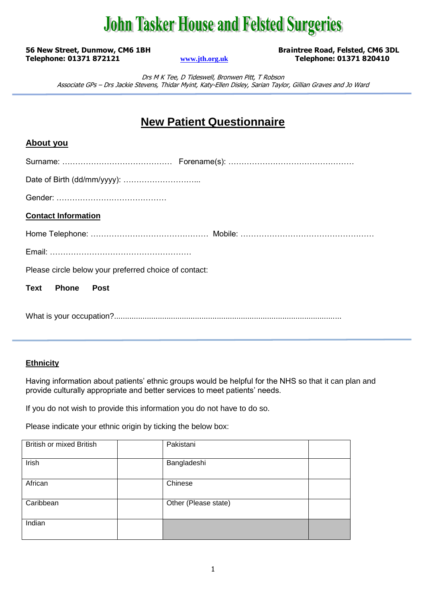# **John Tasker House and Felsted Surgeries**

**56 New Street, Dunmow, CM6 1BH Braintree Road, Felsted, CM6 3DL Telephone: 01371 872121 [www.jth.org.uk](http://www.jth.org.uk/) Telephone: 01371 820410**

Drs M K Tee, D Tideswell, Bronwen Pitt, T Robson Associate GPs – Drs Jackie Stevens, Thidar Myint, Katy-Ellen Disley, Sarian Taylor, Gillian Graves and Jo Ward

### **New Patient Questionnaire**

#### **About you**

| <b>Contact Information</b>                            |  |
|-------------------------------------------------------|--|
|                                                       |  |
|                                                       |  |
| Please circle below your preferred choice of contact: |  |
| Text Phone<br>Post                                    |  |
|                                                       |  |

#### **Ethnicity**

Having information about patients' ethnic groups would be helpful for the NHS so that it can plan and provide culturally appropriate and better services to meet patients' needs.

If you do not wish to provide this information you do not have to do so.

Please indicate your ethnic origin by ticking the below box:

| <b>British or mixed British</b> | Pakistani            |
|---------------------------------|----------------------|
| Irish                           | Bangladeshi          |
| African                         | Chinese              |
| Caribbean                       | Other (Please state) |
| Indian                          |                      |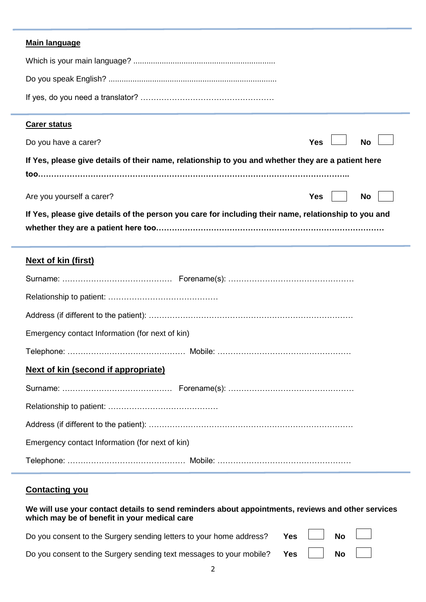#### **Main language**

#### **Carer status**

| Do you have a carer?                                                                                 | Yes $\Box$ No $\Box$               |
|------------------------------------------------------------------------------------------------------|------------------------------------|
| If Yes, please give details of their name, relationship to you and whether they are a patient here   |                                    |
| Are you yourself a carer?                                                                            | $Yes \mid \mid No \mid \cdot \mid$ |
| If Yes, please give details of the person you care for including their name, relationship to you and |                                    |

#### **Next of kin (first)**

| Emergency contact Information (for next of kin) |  |
|-------------------------------------------------|--|
|                                                 |  |
| Next of kin (second if appropriate)             |  |
|                                                 |  |
|                                                 |  |
|                                                 |  |
| Emergency contact Information (for next of kin) |  |
|                                                 |  |

### **Contacting you**

| We will use your contact details to send reminders about appointments, reviews and other services |  |
|---------------------------------------------------------------------------------------------------|--|
| which may be of benefit in your medical care                                                      |  |

| Do you consent to the Surgery sending letters to your home address? Yes $\Box$ No $\Box$ |  |  |
|------------------------------------------------------------------------------------------|--|--|
| Do you consent to the Surgery sending text messages to your mobile? Yes No               |  |  |

2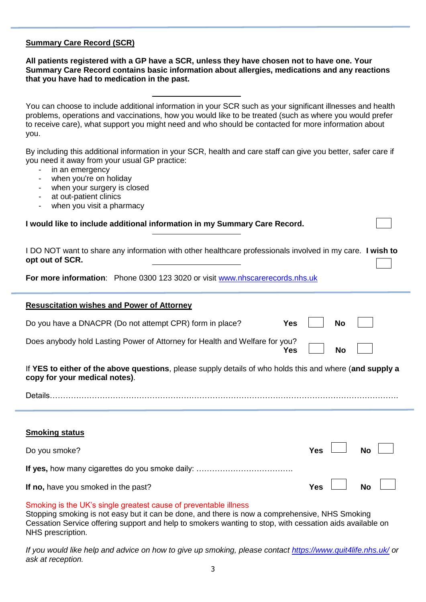#### **Summary Care Record (SCR)**

**All patients registered with a GP have a SCR, unless they have chosen not to have one. Your Summary Care Record contains basic information about allergies, medications and any reactions that you have had to medication in the past.**

You can choose to include additional information in your SCR such as your significant illnesses and health problems, operations and vaccinations, how you would like to be treated (such as where you would prefer to receive care), what support you might need and who should be contacted for more information about you.

By including this additional information in your SCR, health and care staff can give you better, safer care if you need it away from your usual GP practice:

- in an emergency
- when you're on holiday
- when your surgery is closed
- at out-patient clinics
- when you visit a pharmacy

| I DO NOT want to share any information with other healthcare professionals involved in my care. I wish to |  |
|-----------------------------------------------------------------------------------------------------------|--|
| opt out of SCR.                                                                                           |  |

**For more information**: Phone 0300 123 3020 or visit [www.nhscarerecords.nhs.uk](http://www.nhscarerecords.nhs.uk/)

#### **Resuscitation wishes and Power of Attorney**

| Do you have a DNACPR (Do not attempt CPR) form in place?                                                                                  | <b>Yes</b> |            | No        |           |
|-------------------------------------------------------------------------------------------------------------------------------------------|------------|------------|-----------|-----------|
| Does anybody hold Lasting Power of Attorney for Health and Welfare for you?                                                               | Yes        |            | <b>No</b> |           |
| If YES to either of the above questions, please supply details of who holds this and where (and supply a<br>copy for your medical notes). |            |            |           |           |
| Details.<br>and a complete the contract of the contract of the contract of the contract of the contract of the contract of                |            |            |           |           |
|                                                                                                                                           |            |            |           |           |
| <b>Smoking status</b>                                                                                                                     |            |            |           |           |
| Do you smoke?                                                                                                                             |            | <b>Yes</b> |           | <b>No</b> |
|                                                                                                                                           |            |            |           |           |

Smoking is the UK's single greatest cause of preventable illness

Stopping smoking is not easy but it can be done, and there is now a comprehensive, NHS Smoking Cessation Service offering support and help to smokers wanting to stop, with cessation aids available on NHS prescription.

**If no,** have you smoked in the past? **Yes** No

*If you would like help and advice on how to give up smoking, please contact<https://www.quit4life.nhs.uk/> or ask at reception.*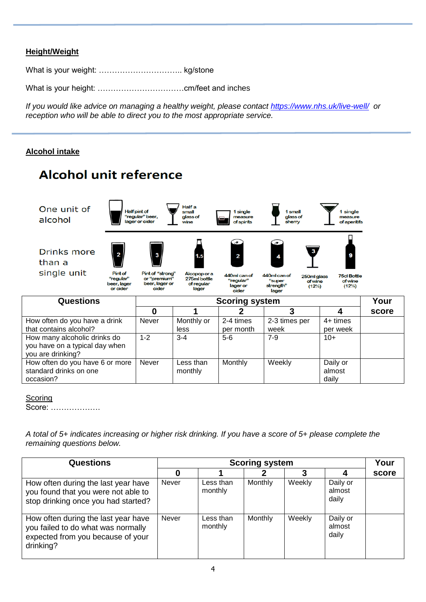#### **Height/Weight**

What is your weight: ………………………….. kg/stone

**Alcohol unit reference** 

What is your height: ……………………………cm/feet and inches

*If you would like advice on managing a healthy weight, please contact<https://www.nhs.uk/live-well/>or reception who will be able to direct you to the most appropriate service.*

#### **Alcohol intake**



| <b>TOW ORCH GO YOU HOVG &amp; GITTIN</b> | 1333 J  | <u>IVIUIIIIIVUI</u> | 2 T UIIIV J | $\sim$ 0 $\mu$ and $\mu$ and $\mu$ | ᅮᆝᄖᄔᅌ    |
|------------------------------------------|---------|---------------------|-------------|------------------------------------|----------|
| that contains alcohol?                   |         | less                | per month   | week                               | per week |
| How many alcoholic drinks do             | $1 - 2$ | $3 - 4$             | $5-6$       | $7-9$                              | $10+$    |
| you have on a typical day when           |         |                     |             |                                    |          |
| you are drinking?                        |         |                     |             |                                    |          |
| How often do you have 6 or more          | Never   | Less than           | Monthly     | Weekly                             | Daily or |
| standard drinks on one                   |         | monthly             |             |                                    | almost   |
| occasion?                                |         |                     |             |                                    | dailv    |

| corina |
|--------|
|        |
|        |

Score: ……………….

*A total of 5+ indicates increasing or higher risk drinking. If you have a score of 5+ please complete the remaining questions below.* 

| Questions                                                                                                                   |              | <b>Scoring system</b> |         |        |                             |       |  |  |  |  |  |  |
|-----------------------------------------------------------------------------------------------------------------------------|--------------|-----------------------|---------|--------|-----------------------------|-------|--|--|--|--|--|--|
|                                                                                                                             | O            |                       |         |        |                             | score |  |  |  |  |  |  |
| How often during the last year have<br>you found that you were not able to<br>stop drinking once you had started?           | Never        | Less than<br>monthly  | Monthly | Weekly | Daily or<br>almost<br>daily |       |  |  |  |  |  |  |
| How often during the last year have<br>you failed to do what was normally<br>expected from you because of your<br>drinking? | <b>Never</b> | Less than<br>monthly  | Monthly | Weekly | Daily or<br>almost<br>daily |       |  |  |  |  |  |  |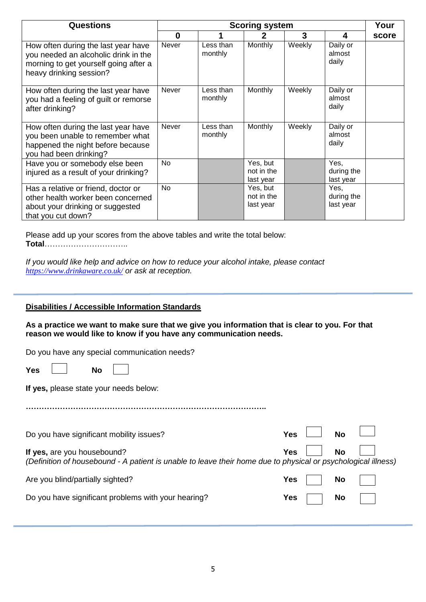| <b>Questions</b>                                                                                                                                |              | <b>Scoring system</b> |                                     |        |                                 |       |  |  |  |  |  |  |
|-------------------------------------------------------------------------------------------------------------------------------------------------|--------------|-----------------------|-------------------------------------|--------|---------------------------------|-------|--|--|--|--|--|--|
|                                                                                                                                                 | $\bf{0}$     |                       |                                     | 3      | 4                               | score |  |  |  |  |  |  |
| How often during the last year have<br>you needed an alcoholic drink in the<br>morning to get yourself going after a<br>heavy drinking session? | <b>Never</b> | Less than<br>monthly  | <b>Monthly</b>                      | Weekly | Daily or<br>almost<br>daily     |       |  |  |  |  |  |  |
| How often during the last year have<br>you had a feeling of guilt or remorse<br>after drinking?                                                 | <b>Never</b> | Less than<br>monthly  | <b>Monthly</b>                      | Weekly | Daily or<br>almost<br>daily     |       |  |  |  |  |  |  |
| How often during the last year have<br>you been unable to remember what<br>happened the night before because<br>you had been drinking?          | Never        | Less than<br>monthly  | Monthly                             | Weekly | Daily or<br>almost<br>daily     |       |  |  |  |  |  |  |
| Have you or somebody else been<br>injured as a result of your drinking?                                                                         | No           |                       | Yes, but<br>not in the<br>last year |        | Yes,<br>during the<br>last year |       |  |  |  |  |  |  |
| Has a relative or friend, doctor or<br>other health worker been concerned<br>about your drinking or suggested<br>that you cut down?             | No           |                       | Yes, but<br>not in the<br>last year |        | Yes,<br>during the<br>last year |       |  |  |  |  |  |  |

Please add up your scores from the above tables and write the total below: **Total**…………………………..

*If you would like help and advice on how to reduce your alcohol intake, please contact <https://www.drinkaware.co.uk/> or ask at reception.*

#### **Disabilities / Accessible Information Standards**

**As a practice we want to make sure that we give you information that is clear to you. For that reason we would like to know if you have any communication needs.** 

**………………………………………………………………………………..**

|  |  |  |  |  | Do you have any special communication needs? |  |
|--|--|--|--|--|----------------------------------------------|--|
|--|--|--|--|--|----------------------------------------------|--|

| Yes |  | No |  |
|-----|--|----|--|
|-----|--|----|--|

**If yes,** please state your needs below:

| Do you have significant mobility issues?                                                                                                     | Yes $\vert$ |         | $\overline{1}$ No $\overline{1}$ |  |
|----------------------------------------------------------------------------------------------------------------------------------------------|-------------|---------|----------------------------------|--|
| If yes, are you housebound?<br>(Definition of housebound - A patient is unable to leave their home due to physical or psychological illness) |             | Yes I I | <b>No</b>                        |  |
| Are you blind/partially sighted?                                                                                                             | Yes         |         | No.                              |  |
| Do you have significant problems with your hearing?                                                                                          | <b>Yes</b>  |         | <b>No</b>                        |  |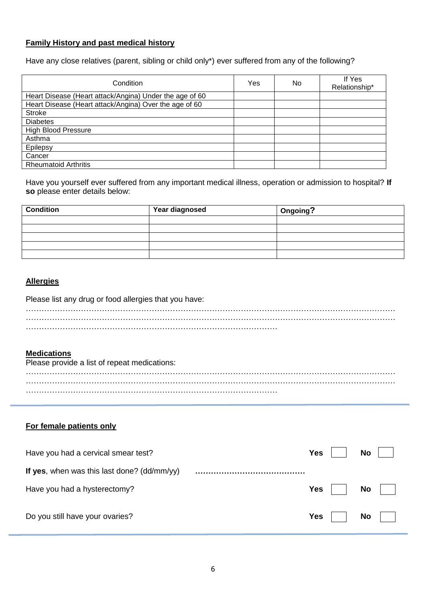#### **Family History and past medical history**

Have any close relatives (parent, sibling or child only\*) ever suffered from any of the following?

| Condition                                               | Yes | No. | If Yes<br>Relationship* |
|---------------------------------------------------------|-----|-----|-------------------------|
| Heart Disease (Heart attack/Angina) Under the age of 60 |     |     |                         |
| Heart Disease (Heart attack/Angina) Over the age of 60  |     |     |                         |
| <b>Stroke</b>                                           |     |     |                         |
| <b>Diabetes</b>                                         |     |     |                         |
| <b>High Blood Pressure</b>                              |     |     |                         |
| Asthma                                                  |     |     |                         |
| Epilepsy                                                |     |     |                         |
| Cancer                                                  |     |     |                         |
| <b>Rheumatoid Arthritis</b>                             |     |     |                         |

Have you yourself ever suffered from any important medical illness, operation or admission to hospital? **If so** please enter details below:

| <b>Condition</b> | <b>Year diagnosed</b> | Ongoing? |
|------------------|-----------------------|----------|
|                  |                       |          |
|                  |                       |          |
|                  |                       |          |
|                  |                       |          |
|                  |                       |          |

#### **Allergies**

#### Please list any drug or food allergies that you have:

#### **Medications**

| Please provide a list of repeat medications: |  |
|----------------------------------------------|--|
|                                              |  |
|                                              |  |
|                                              |  |
|                                              |  |
|                                              |  |
|                                              |  |
|                                              |  |

#### **For female patients only**

| Have you had a cervical smear test?         | Yes     | <b>No</b> |
|---------------------------------------------|---------|-----------|
| If yes, when was this last done? (dd/mm/yy) |         |           |
| Have you had a hysterectomy?                | Yes $ $ | <b>No</b> |
| Do you still have your ovaries?             | Yes $ $ | <b>No</b> |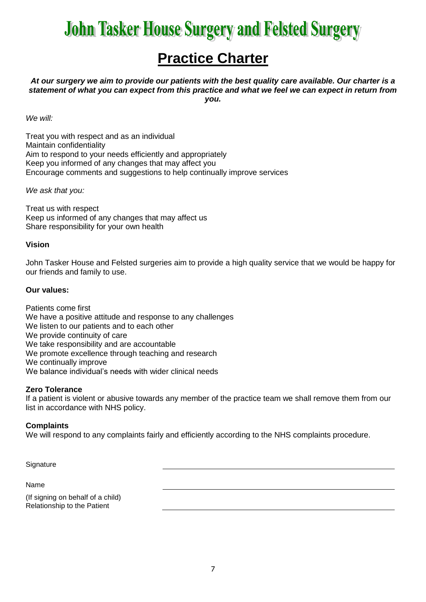# **John Tasker House Surgery and Felsted Surgery**

### **Practice Charter**

*At our surgery we aim to provide our patients with the best quality care available. Our charter is a statement of what you can expect from this practice and what we feel we can expect in return from you.*

*We will:*

Treat you with respect and as an individual Maintain confidentiality Aim to respond to your needs efficiently and appropriately Keep you informed of any changes that may affect you Encourage comments and suggestions to help continually improve services

*We ask that you:*

Treat us with respect Keep us informed of any changes that may affect us Share responsibility for your own health

#### **Vision**

John Tasker House and Felsted surgeries aim to provide a high quality service that we would be happy for our friends and family to use.

#### **Our values:**

Patients come first We have a positive attitude and response to any challenges We listen to our patients and to each other We provide continuity of care We take responsibility and are accountable We promote excellence through teaching and research We continually improve We balance individual's needs with wider clinical needs

#### **Zero Tolerance**

If a patient is violent or abusive towards any member of the practice team we shall remove them from our list in accordance with NHS policy.

#### **Complaints**

We will respond to any complaints fairly and efficiently according to the NHS complaints procedure.

**Signature** 

#### Name

(If signing on behalf of a child) Relationship to the Patient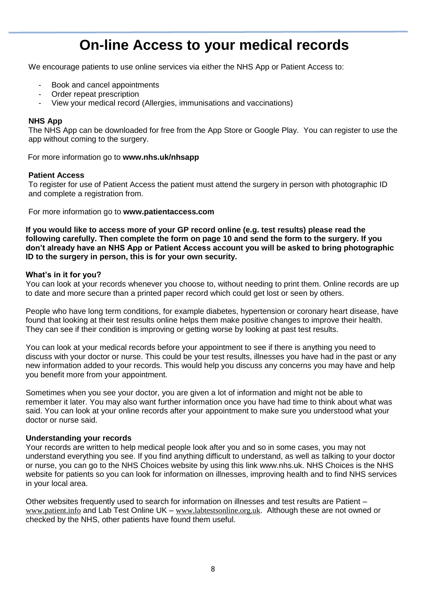### **On-line Access to your medical records**

We encourage patients to use online services via either the NHS App or Patient Access to:

- Book and cancel appointments
- Order repeat prescription
- View your medical record (Allergies, immunisations and vaccinations)

#### **NHS App**

The NHS App can be downloaded for free from the App Store or Google Play. You can register to use the app without coming to the surgery.

For more information go to **www.nhs.uk/nhsapp**

#### **Patient Access**

To register for use of Patient Access the patient must attend the surgery in person with photographic ID and complete a registration from.

For more information go to **www.patientaccess.com**

**If you would like to access more of your GP record online (e.g. test results) please read the following carefully. Then complete the form on page 10 and send the form to the surgery. If you don't already have an NHS App or Patient Access account you will be asked to bring photographic ID to the surgery in person, this is for your own security.** 

#### **What's in it for you?**

You can look at your records whenever you choose to, without needing to print them. Online records are up to date and more secure than a printed paper record which could get lost or seen by others.

People who have long term conditions, for example diabetes, hypertension or coronary heart disease, have found that looking at their test results online helps them make positive changes to improve their health. They can see if their condition is improving or getting worse by looking at past test results.

You can look at your medical records before your appointment to see if there is anything you need to discuss with your doctor or nurse. This could be your test results, illnesses you have had in the past or any new information added to your records. This would help you discuss any concerns you may have and help you benefit more from your appointment.

Sometimes when you see your doctor, you are given a lot of information and might not be able to remember it later. You may also want further information once you have had time to think about what was said. You can look at your online records after your appointment to make sure you understood what your doctor or nurse said.

#### **Understanding your records**

Your records are written to help medical people look after you and so in some cases, you may not understand everything you see. If you find anything difficult to understand, as well as talking to your doctor or nurse, you can go to the NHS Choices website by using this link www.nhs.uk. NHS Choices is the NHS website for patients so you can look for information on illnesses, improving health and to find NHS services in your local area.

Other websites frequently used to search for information on illnesses and test results are Patient – [www.patient.info](http://www.patient.info/) and Lab Test Online UK – [www.labtestsonline.org.uk](http://www.labtestsonline.org.uk/). Although these are not owned or checked by the NHS, other patients have found them useful.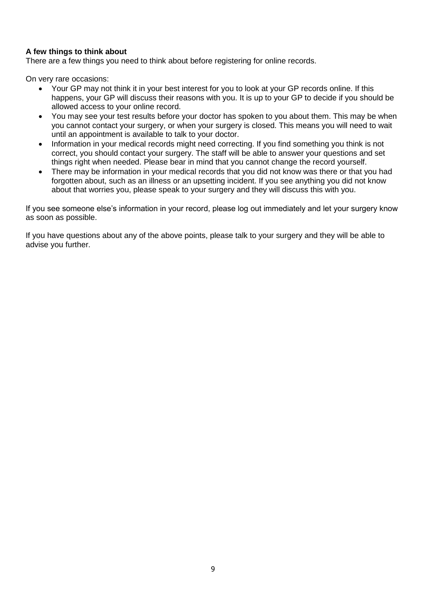#### **A few things to think about**

There are a few things you need to think about before registering for online records.

On very rare occasions:

- Your GP may not think it in your best interest for you to look at your GP records online. If this happens, your GP will discuss their reasons with you. It is up to your GP to decide if you should be allowed access to your online record.
- You may see your test results before your doctor has spoken to you about them. This may be when you cannot contact your surgery, or when your surgery is closed. This means you will need to wait until an appointment is available to talk to your doctor.
- Information in your medical records might need correcting. If you find something you think is not correct, you should contact your surgery. The staff will be able to answer your questions and set things right when needed. Please bear in mind that you cannot change the record yourself.
- There may be information in your medical records that you did not know was there or that you had forgotten about, such as an illness or an upsetting incident. If you see anything you did not know about that worries you, please speak to your surgery and they will discuss this with you.

If you see someone else's information in your record, please log out immediately and let your surgery know as soon as possible.

If you have questions about any of the above points, please talk to your surgery and they will be able to advise you further.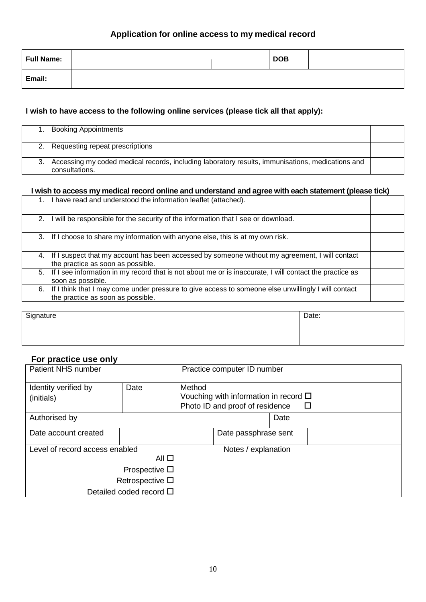#### **Application for online access to my medical record**

| Full Name: |  | <b>DOB</b> |  |
|------------|--|------------|--|
| Email:     |  |            |  |

#### **I wish to have access to the following online services (please tick all that apply):**

| <b>Booking Appointments</b>                                                                                           |  |
|-----------------------------------------------------------------------------------------------------------------------|--|
| 2. Requesting repeat prescriptions                                                                                    |  |
| 3. Accessing my coded medical records, including laboratory results, immunisations, medications and<br>consultations. |  |

#### **I wish to access my medical record online and understand and agree with each statement (please tick)**

|    | 1. I have read and understood the information leaflet (attached).                                                                           |  |
|----|---------------------------------------------------------------------------------------------------------------------------------------------|--|
| 2. | I will be responsible for the security of the information that I see or download.                                                           |  |
|    | 3. If I choose to share my information with anyone else, this is at my own risk.                                                            |  |
|    | 4. If I suspect that my account has been accessed by someone without my agreement, I will contact<br>the practice as soon as possible.      |  |
|    | 5. If I see information in my record that is not about me or is inaccurate, I will contact the practice as<br>soon as possible.             |  |
|    | 6. If I think that I may come under pressure to give access to someone else unwillingly I will contact<br>the practice as soon as possible. |  |

Signature Date:

#### **For practice use only**

| Patient NHS number                 | Practice computer ID number |                                                                                                 |                      |  |
|------------------------------------|-----------------------------|-------------------------------------------------------------------------------------------------|----------------------|--|
| Identity verified by<br>(initials) | Date                        | Method<br>Vouching with information in record $\square$<br>Photo ID and proof of residence<br>⊔ |                      |  |
| Authorised by                      |                             |                                                                                                 | Date                 |  |
| Date account created               |                             |                                                                                                 | Date passphrase sent |  |
| Level of record access enabled     | Notes / explanation         |                                                                                                 |                      |  |
|                                    |                             |                                                                                                 |                      |  |
|                                    |                             |                                                                                                 |                      |  |
| Retrospective $\square$            |                             |                                                                                                 |                      |  |
| Detailed coded record $\Box$       |                             |                                                                                                 |                      |  |